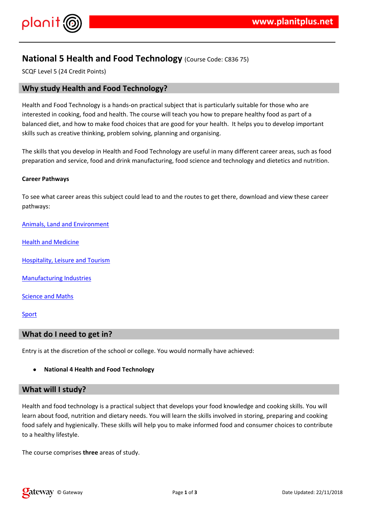$!$  # \$ % & ' '(

) % \* ( " + , \* ( % ( - ( , ' , % ./ ,' \*' , % % ' \* . % \*<br>'( . 0'( 1 + , \* %'%2% , \* \* \* % \* % \*  $($   $($ , 0  $( 1 + 1 )$   $($   $($   $)$   $($   $($   $)$   $($   $)$   $($   $)$   $($   $)$   $($   $)$   $($   $)$   $($   $)$   $($   $)$   $($   $)$   $($   $)$   $($   $)$   $($   $)$   $($   $)$   $($   $)$   $($   $)$   $($   $)$   $($   $)$   $($   $)$   $($   $)$   $($   $)$   $($   $)$   $($   $)$   $($   $)$   $%$  \*  $\frac{1}{2}$  % (,  $\frac{1}{2}$  (  $\uparrow$   $\uparrow$  3 0  $\downarrow$   $\uparrow$   $\uparrow$ \* % \* % 4 \$ % '3  $0'$  %%,  $*$  '\$ \*'(0'.(%1 3 % \$'(%1 (('( ( ('( (')'(2)

 $0.96\%$  \*  $0.96\%$  \*  $0.96\%$  \*  $0.96\%$  \*  $0.96\%$  \*  $0.96\%$  \*  $0.96\%$  \*  $0.96\%$  \*  $0.96\%$  \*  $0.96\%$  \*  $0.96\%$  \*  $0.96\%$  \*  $0.96\%$  \*  $0.96\%$  \*  $0.96\%$  \*  $0.96\%$  \*  $0.96\%$  \*  $0.96\%$  \*  $0.96\%$  \*  $0.96\%$  \*  $+$  \* 0 ' % % \*

+ \* ,  $\frac{1}{2}$ ,  $\frac{1}{2}$ ,  $\frac{1}{2}$ ,  $\frac{1}{2}$ ,  $\frac{1}{2}$  ,  $\frac{1}{2}$  ,  $\frac{1}{2}$  ,  $\frac{1}{2}$  ,  $\frac{1}{2}$  ,  $\frac{1}{2}$  ,  $\frac{1}{2}$  ,  $\frac{1}{2}$  ,  $\frac{1}{2}$  ,  $\frac{1}{2}$  ,  $\frac{1}{2}$  ,  $\frac{1}{2}$  ,  $\frac{1}{2}$  ,  $\frac{1}{2}$  ,  $\frac$ 

 $5('3 % 1 # 6(5' (3) 6))$ 

 $\frac{1}{2}$  % \* ( 7 ','(

 $\frac{1}{2}$   $\frac{1}{2}$   $\frac{9}{6}$   $\frac{1}{4}$   $\frac{1}{4}$   $\frac{1}{4}$   $\frac{1}{1}$   $\frac{1}{1}$   $\frac{1}{1}$   $\frac{1}{1}$   $\frac{1}{1}$   $\frac{1}{1}$   $\frac{1}{1}$   $\frac{1}{1}$   $\frac{1}{1}$   $\frac{1}{1}$   $\frac{1}{1}$   $\frac{1}{1}$   $\frac{1}{1}$   $\frac{1}{1}$   $\frac{1}{1}$   $\frac{1}{1}$ 

 $7$  (,  $(4)$ 

 $\frac{1}{2}$ ,  $\frac{1}{2}$ ,  $\frac{1}{2}$ ,  $\frac{1}{2}$ 

6 (  $\cdot$  \*  $\cdot$  ,  $\cdot$  ,  $\frac{1}{2}$  %,  $\frac{1}{2}$  %  $\frac{1}{2}$  %  $\frac{1}{2}$  % ( 3 % % \* \$  $\cdot$  \*  $\cdot$  \$

) % \* ( , \*'( % , ', % \*/ , \$ % 0 ( ,% 0 '(  $(0.96\%26)$ <br>% ( . 1 ( " ' ( ( ( ) 8  $(0.96\%36)$  ) (  $(0.96\%36)$  ) (  $(0.96\%36)$  ) (  $(0.96\%36)$  ) (  $(0.96\%36)$  ) (  $(0.96\%36)$  ) (  $(0.96\%36)$  ) (  $(0.96\%36)$  ) (  $(0.$  $0($  .% 0'(  $(0'$  % % 2% % ( \* ' (', %20%' $\frac{96}{200}$ %26' %26' %26' 3 0' ( 3 , (( 3 , \* ', , ( '. \*  $\frac{9}{90}$ %\*  $\frac{9}{6}$  2

 $+$  \*, , , , 3  $\overline{2}$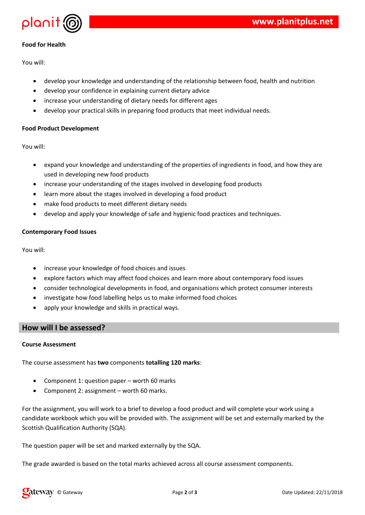



## **Food for Health**

You will:

- develop your knowledge and understanding of the relationship between food, health and nutrition
- develop your confidence in explaining current dietary advice
- increase your understanding of dietary needs for different ages
- develop your practical skills in preparing food products that meet individual needs.

#### **Food Product Development**

You will:

- expand your knowledge and understanding of the properties of ingredients in food, and how they are used in developing new food products
- increase your understanding of the stages involved in developing food products
- learn more about the stages involved in developing a food product
- make food products to meet different dietary needs
- develop and apply your knowledge of safe and hygienic food practices and techniques.

#### **Contemporary Food Issues**

You will:

- increase your knowledge of food choices and issues
- explore factors which may affect food choices and learn more about contemporary food issues
- consider technological developments in food, and organisations which protect consumer interests
- investigate how food labelling helps us to make informed food choices
- apply your knowledge and skills in practical ways.

## **How will I be assessed?**

#### **Course Assessment**

The course assessment has **two** components **totalling 120 marks**:

- Component 1: question paper worth 60 marks
- Component 2: assignment worth 60 marks.

For the assignment, you will work to a brief to develop a food product and will complete your work using a candidate workbook which you will be provided with. The assignment will be set and externally marked by the Scottish Qualification Authority (SQA).

The question paper will be set and marked externally by the SQA.

The grade awarded is based on the total marks achieved across all course assessment components.